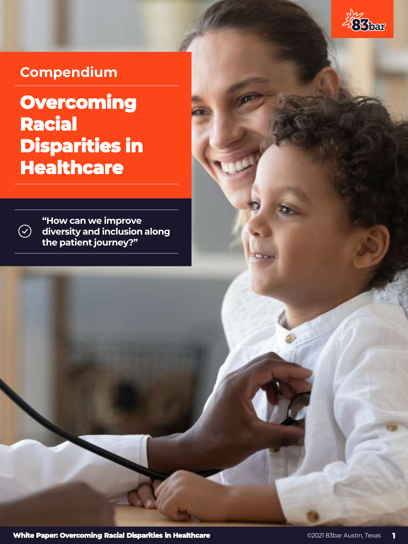

# **Compendium**

 $\bigodot$ 

# **Overcoming Racial Disparities in Healthcare**

**"How can we improve diversity and inclusion along the patient journey?"** 

**White Paper: Overcoming Racial Disparities in Healthcare Capacities 11 Capacities 1**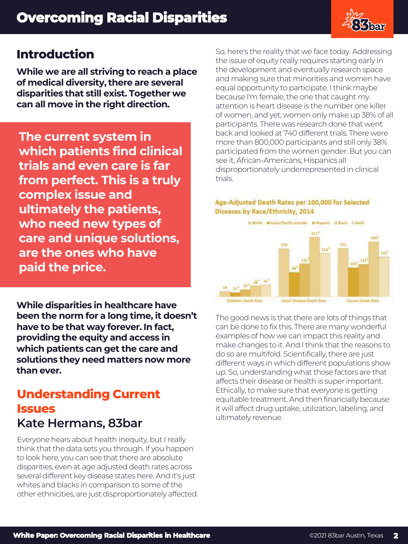

# **Introduction**

**While we are all striving to reach a place of medical diversity, there are several disparities that still exist. Together we can all move in the right direction.**

**The current system in which patients find clinical trials and even care is far from perfect. This is a truly complex issue and ultimately the patients, who need new types of care and unique solutions, are the ones who have paid the price.**

**While disparities in healthcare have been the norm for a long time, it doesn't have to be that way forever. In fact, providing the equity and access in which patients can get the care and solutions they need matters now more than ever.**

# **Understanding Current Issues Kate Hermans, 83bar**

Everyone hears about health inequity, but I really think that the data sets you through. If you happen to look here, you can see that there are absolute disparities, even at age adjusted death rates across several different key disease states here. And it's just whites and blacks in comparison to some of the other ethnicities, are just disproportionately affected. So, here's the reality that we face today. Addressing the issue of equity really requires starting early in the development and eventually research space and making sure that minorities and women have equal opportunity to participate. I think maybe because I'm female, the one that caught my attention is heart disease is the number one killer of women, and yet, women only make up 38% of all participants. There was research done that went back and looked at 740 different trials. There were more than 800,000 participants and still only 38% participated from the women gender. But you can see it, African-Americans, Hispanics all disproportionately underrepresented in clinical trials.

#### Age-Adjusted Death Rates per 100,000 for Selected Diseases by Race/Ethnicity, 2014



The good news is that there are lots of things that can be done to fix this. There are many wonderful examples of how we can impact this reality and make changes to it. And I think that the reasons to do so are multifold. Scientifically, there are just different ways in which different populations show up. So, understanding what those factors are that affects their disease or health is super important. Ethically, to make sure that everyone is getting equitable treatment. And then financially because it will affect drug uptake, utilization, labeling, and ultimately revenue.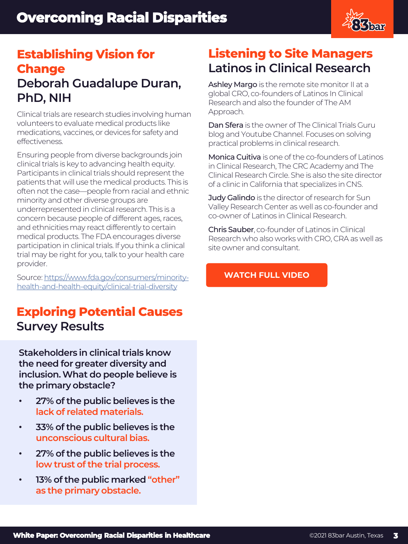

# **Establishing Vision for Change Deborah Guadalupe Duran, PhD, NIH**

Clinical trials are research studies involving human volunteers to evaluate medical products like medications, vaccines, or devices for safety and effectiveness.

Ensuring people from diverse backgrounds join clinical trials is key to advancing health equity. Participants in clinical trials should represent the patients that will use the medical products. This is often not the case—people from racial and ethnic minority and other diverse groups are underrepresented in clinical research. This is a concern because people of different ages, races, and ethnicities may react differently to certain medical products. The FDA encourages diverse participation in clinical trials. If you think a clinical trial may be right for you, talk to your health care provider.

Source: https://www.fda.gov/consumers/minorityhealth-and-health-equity/clinical-trial-diversity

# **Exploring Potential Causes Survey Results**

**Stakeholders in clinical trials know the need for greater diversity and inclusion. What do people believe is the primary obstacle?** 

- **27% of the public believes is the lack of related materials.**
- **33% of the public believes is the unconscious cultural bias.**
- **27% of the public believes is the low trust of the trial process.**
- **13% of the public marked "other" as the primary obstacle.**

# **Listening to Site Managers Latinos in Clinical Research**

Ashley Margo is the remote site monitor II at a global CRO, co-founders of Latinos In Clinical Research and also the founder of The AM Approach.

Dan Sfera is the owner of The Clinical Trials Guru blog and Youtube Channel. Focuses on solving practical problems in clinical research.

Monica Cuitiva is one of the co-founders of Latinos in Clinical Research, The CRC Academy and The Clinical Research Circle. She is also the site director of a clinic in California that specializes in CNS.

Judy Galindo is the director of research for Sun Valley Research Center as well as co-founder and co-owner of Latinos in Clinical Research.

Chris Sauber, co-founder of Latinos in Clinical Research who also works with CRO, CRA as well as site owner and consultant.

### **[WATCH FULL VIDEO](https://youtu.be/7C7pD0tSP6g)**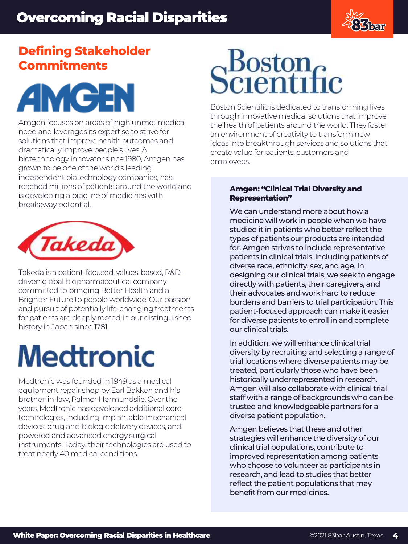

# **Defining Stakeholder Commitments**



Amgen focuses on areas of high unmet medical need and leverages its expertise to strive for solutions that improve health outcomes and dramatically improve people's lives. A biotechnology innovator since 1980, Amgen has grown to be one of the world's leading independent biotechnology companies, has reached millions of patients around the world and is developing a pipeline of medicines with breakaway potential.



Takeda is a patient-focused, values-based, R&Ddriven global biopharmaceutical company committed to bringing Better Health and a Brighter Future to people worldwide. Our passion and pursuit of potentially life-changing treatments for patients are deeply rooted in our distinguished history in Japan since 1781.

# **Medtronic**

Medtronic was founded in 1949 as a medical equipment repair shop by Earl Bakken and his brother-in-law, Palmer Hermundslie. Over the years, Medtronic has developed additional core technologies, including implantable mechanical devices, drug and biologic delivery devices, and powered and advanced energy surgical instruments. Today, their technologies are used to treat nearly 40 medical conditions.

# Scientific

Boston Scientific is dedicated to transforming lives through innovative medical solutions that improve the health of patients around the world. They foster an environment of creativity to transform new ideas into breakthrough services and solutions that create value for patients, customers and employees.

### **Amgen: "Clinical Trial Diversity and Representation"**

We can understand more about how a medicine will work in people when we have studied it in patients who better reflect the types of patients our products are intended for. Amgen strives to include representative patients in clinical trials, including patients of diverse race, ethnicity, sex, and age. In designing our clinical trials, we seek to engage directly with patients, their caregivers, and their advocates and work hard to reduce burdens and barriers to trial participation. This patient-focused approach can make it easier for diverse patients to enroll in and complete our clinical trials.

In addition, we will enhance clinical trial diversity by recruiting and selecting a range of trial locations where diverse patients may be treated, particularly those who have been historically underrepresented in research. Amgen will also collaborate with clinical trial staff with a range of backgrounds who can be trusted and knowledgeable partners for a diverse patient population.

Amgen believes that these and other strategies will enhance the diversity of our clinical trial populations, contribute to improved representation among patients who choose to volunteer as participants in research, and lead to studies that better reflect the patient populations that may benefit from our medicines.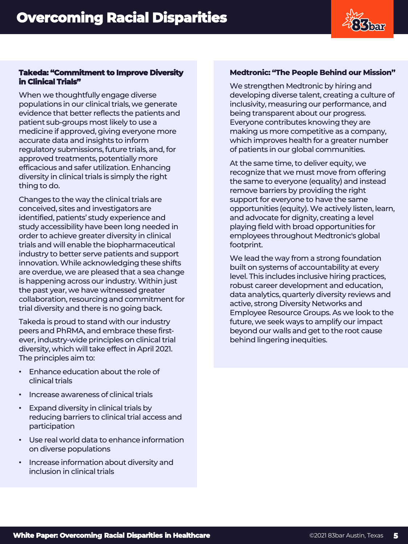

### **Takeda: "Commitment to Improve Diversity in Clinical Trials"**

When we thoughtfully engage diverse populations in our clinical trials, we generate evidence that better reflects the patients and patient sub-groups most likely to use a medicine if approved, giving everyone more accurate data and insights to inform regulatory submissions, future trials, and, for approved treatments, potentially more efficacious and safer utilization. Enhancing diversity in clinical trials is simply the right thing to do.

Changes to the way the clinical trials are conceived, sites and investigators are identified, patients' study experience and study accessibility have been long needed in order to achieve greater diversity in clinical trials and will enable the biopharmaceutical industry to better serve patients and support innovation. While acknowledging these shifts are overdue, we are pleased that a sea change is happening across our industry. Within just the past year, we have witnessed greater collaboration, resourcing and commitment for trial diversity and there is no going back.

Takeda is proud to stand with our industry peers and PhRMA, and embrace these firstever, industry-wide principles on clinical trial diversity, which will take effect in April 2021. The principles aim to:

- Enhance education about the role of clinical trials
- Increase awareness of clinical trials
- Expand diversity in clinical trials by reducing barriers to clinical trial access and participation
- Use real world data to enhance information on diverse populations
- Increase information about diversity and inclusion in clinical trials

### **Medtronic: "The People Behind our Mission"**

We strengthen Medtronic by hiring and developing diverse talent, creating a culture of inclusivity, measuring our performance, and being transparent about our progress. Everyone contributes knowing they are making us more competitive as a company, which improves health for a greater number of patients in our global communities.

At the same time, to deliver equity, we recognize that we must move from offering the same to everyone (equality) and instead remove barriers by providing the right support for everyone to have the same opportunities (equity). We actively listen, learn, and advocate for dignity, creating a level playing field with broad opportunities for employees throughout Medtronic's global footprint.

We lead the way from a strong foundation built on systems of accountability at every level. This includes inclusive hiring practices, robust career development and education, data analytics, quarterly diversity reviews and active, strong Diversity Networks and Employee Resource Groups. As we look to the future, we seek ways to amplify our impact beyond our walls and get to the root cause behind lingering inequities.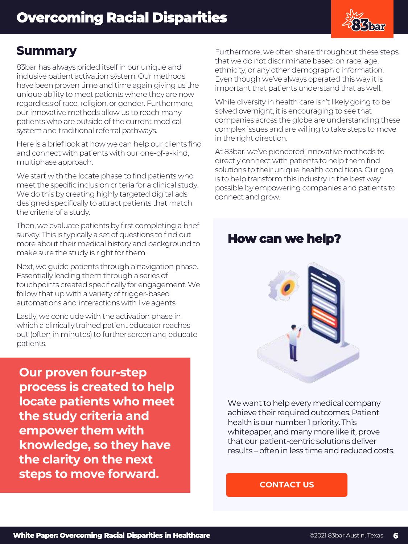

### **Summary**

83bar has always prided itself in our unique and inclusive patient activation system. Our methods have been proven time and time again giving us the unique ability to meet patients where they are now regardless of race, religion, or gender. Furthermore, our innovative methods allow us to reach many patients who are outside of the current medical system and traditional referral pathways.

Here is a brief look at how we can help our clients find and connect with patients with our one-of-a-kind, multiphase approach.

We start with the locate phase to find patients who meet the specific inclusion criteria for a clinical study. We do this by creating highly targeted digital ads designed specifically to attract patients that match the criteria of a study.

Then, we evaluate patients by first completing a brief survey. This is typically a set of questions to find out more about their medical history and background to make sure the study is right for them.

Next, we guide patients through a navigation phase. Essentially leading them through a series of touchpoints created specifically for engagement. We follow that up with a variety of trigger-based automations and interactions with live agents.

Lastly, we conclude with the activation phase in which a clinically trained patient educator reaches out (often in minutes) to further screen and educate patients.

**Our proven four-step process is created to help locate patients who meet the study criteria and empower them with knowledge, so they have the clarity on the next steps to move forward.**

Furthermore, we often share throughout these steps that we do not discriminate based on race, age, ethnicity, or any other demographic information. Even though we've always operated this way it is important that patients understand that as well.

While diversity in health care isn't likely going to be solved overnight, it is encouraging to see that companies across the globe are understanding these complex issues and are willing to take steps to move in the right direction.

At 83bar, we've pioneered innovative methods to directly connect with patients to help them find solutions to their unique health conditions. Our goal is to help transform this industry in the best way possible by empowering companies and patients to connect and grow.

# **How can we help?**



We want to help every medical company achieve their required outcomes. Patient health is our number 1 priority. This whitepaper, and many more like it, prove that our patient-centric solutions deliver results – often in less time and reduced costs.

### **[CONTACT US](https://www.83bar.com/contact/)**